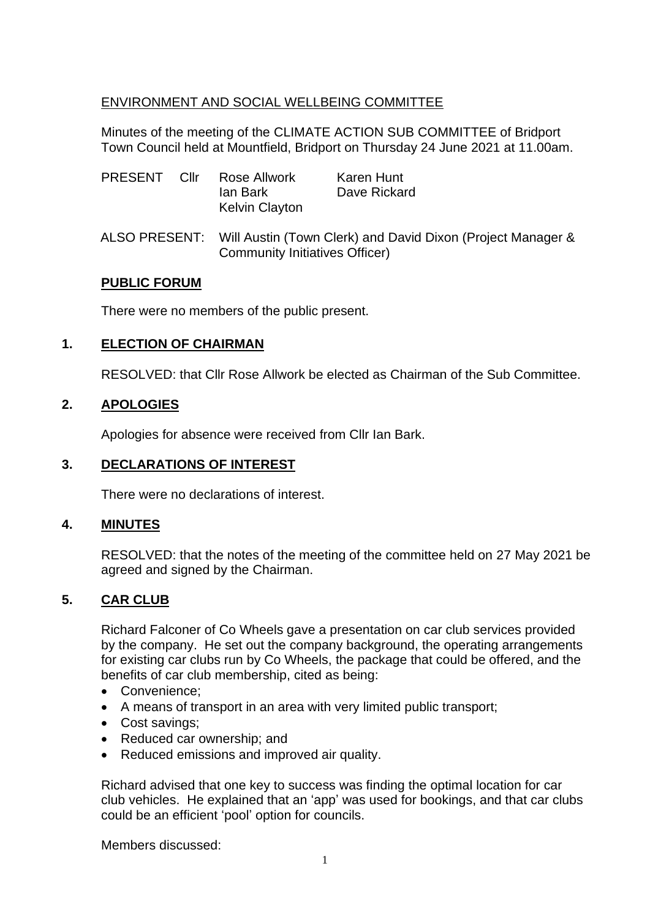## ENVIRONMENT AND SOCIAL WELLBEING COMMITTEE

Minutes of the meeting of the CLIMATE ACTION SUB COMMITTEE of Bridport Town Council held at Mountfield, Bridport on Thursday 24 June 2021 at 11.00am.

| PRESENT Cllr |  | Rose Allwork<br>lan Bark<br><b>Kelvin Clayton</b>                                                                  | Karen Hunt<br>Dave Rickard |
|--------------|--|--------------------------------------------------------------------------------------------------------------------|----------------------------|
|              |  | ALSO PRESENT: Will Austin (Town Clerk) and David Dixon (Project Manager &<br><b>Community Initiatives Officer)</b> |                            |

#### **PUBLIC FORUM**

There were no members of the public present.

## **1. ELECTION OF CHAIRMAN**

RESOLVED: that Cllr Rose Allwork be elected as Chairman of the Sub Committee.

## **2. APOLOGIES**

Apologies for absence were received from Cllr Ian Bark.

## **3. DECLARATIONS OF INTEREST**

There were no declarations of interest.

## **4. MINUTES**

RESOLVED: that the notes of the meeting of the committee held on 27 May 2021 be agreed and signed by the Chairman.

## **5. CAR CLUB**

Richard Falconer of Co Wheels gave a presentation on car club services provided by the company. He set out the company background, the operating arrangements for existing car clubs run by Co Wheels, the package that could be offered, and the benefits of car club membership, cited as being:

- Convenience;
- A means of transport in an area with very limited public transport;
- Cost savings;
- Reduced car ownership; and
- Reduced emissions and improved air quality.

Richard advised that one key to success was finding the optimal location for car club vehicles. He explained that an 'app' was used for bookings, and that car clubs could be an efficient 'pool' option for councils.

Members discussed: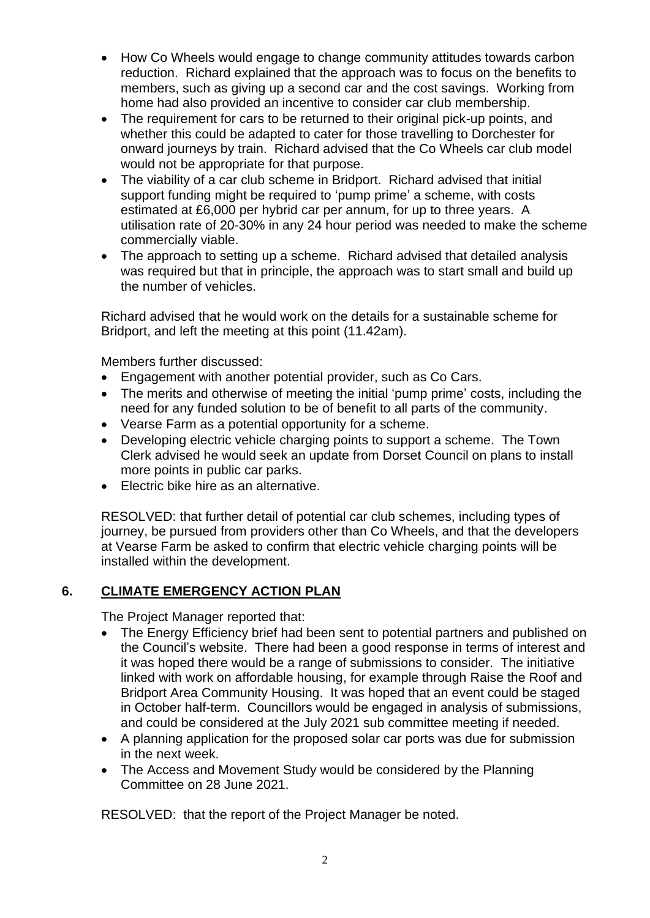- How Co Wheels would engage to change community attitudes towards carbon reduction. Richard explained that the approach was to focus on the benefits to members, such as giving up a second car and the cost savings. Working from home had also provided an incentive to consider car club membership.
- The requirement for cars to be returned to their original pick-up points, and whether this could be adapted to cater for those travelling to Dorchester for onward journeys by train. Richard advised that the Co Wheels car club model would not be appropriate for that purpose.
- The viability of a car club scheme in Bridport. Richard advised that initial support funding might be required to 'pump prime' a scheme, with costs estimated at £6,000 per hybrid car per annum, for up to three years. A utilisation rate of 20-30% in any 24 hour period was needed to make the scheme commercially viable.
- The approach to setting up a scheme. Richard advised that detailed analysis was required but that in principle, the approach was to start small and build up the number of vehicles.

Richard advised that he would work on the details for a sustainable scheme for Bridport, and left the meeting at this point (11.42am).

Members further discussed:

- Engagement with another potential provider, such as Co Cars.
- The merits and otherwise of meeting the initial 'pump prime' costs, including the need for any funded solution to be of benefit to all parts of the community.
- Vearse Farm as a potential opportunity for a scheme.
- Developing electric vehicle charging points to support a scheme. The Town Clerk advised he would seek an update from Dorset Council on plans to install more points in public car parks.
- Electric bike hire as an alternative.

RESOLVED: that further detail of potential car club schemes, including types of journey, be pursued from providers other than Co Wheels, and that the developers at Vearse Farm be asked to confirm that electric vehicle charging points will be installed within the development.

## **6. CLIMATE EMERGENCY ACTION PLAN**

The Project Manager reported that:

- The Energy Efficiency brief had been sent to potential partners and published on the Council's website. There had been a good response in terms of interest and it was hoped there would be a range of submissions to consider. The initiative linked with work on affordable housing, for example through Raise the Roof and Bridport Area Community Housing. It was hoped that an event could be staged in October half-term. Councillors would be engaged in analysis of submissions, and could be considered at the July 2021 sub committee meeting if needed.
- A planning application for the proposed solar car ports was due for submission in the next week.
- The Access and Movement Study would be considered by the Planning Committee on 28 June 2021.

RESOLVED: that the report of the Project Manager be noted.